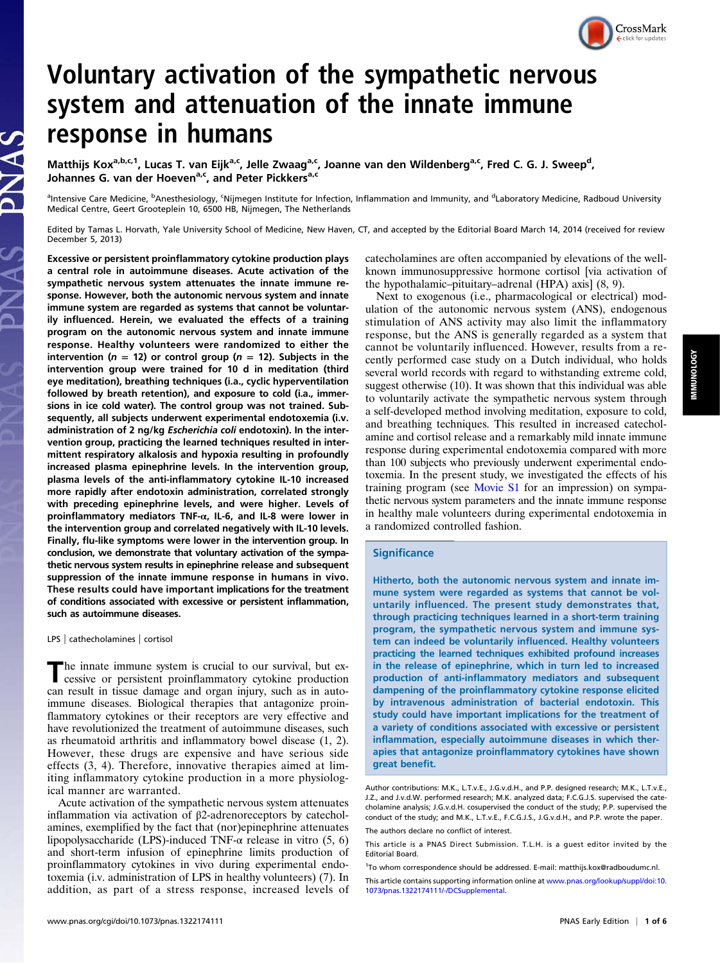# Voluntary activation of the sympathetic nervous system and attenuation of the innate immune response in humans

Matthijs Kox<sup>a,b,c,1</sup>, Lucas T. van Eijk<sup>a,c</sup>, Jelle Zwaag<sup>a,c</sup>, Joanne van den Wildenberg<sup>a,c</sup>, Fred C. G. J. Sweep<sup>d</sup>, Johannes G. van der Hoeven<sup>a,c</sup>, and Peter Pickkers<sup>a,c</sup>

<sup>a</sup>Intensive Care Medicine, <sup>b</sup>Anesthesiology, <sup>c</sup>Nijmegen Institute for Infection, Inflammation and Immunity, and <sup>d</sup>Laboratory Medicine, Radboud University Medical Centre, Geert Grooteplein 10, 6500 HB, Nijmegen, The Netherlands

Edited by Tamas L. Horvath, Yale University School of Medicine, New Haven, CT, and accepted by the Editorial Board March 14, 2014 (received for review December 5, 2013)

Excessive or persistent proinflammatory cytokine production plays a central role in autoimmune diseases. Acute activation of the sympathetic nervous system attenuates the innate immune response. However, both the autonomic nervous system and innate immune system are regarded as systems that cannot be voluntarily influenced. Herein, we evaluated the effects of a training program on the autonomic nervous system and innate immune response. Healthy volunteers were randomized to either the intervention ( $n = 12$ ) or control group ( $n = 12$ ). Subjects in the intervention group were trained for 10 d in meditation (third eye meditation), breathing techniques (i.a., cyclic hyperventilation followed by breath retention), and exposure to cold (i.a., immersions in ice cold water). The control group was not trained. Subsequently, all subjects underwent experimental endotoxemia (i.v. administration of 2 ng/kg Escherichia coli endotoxin). In the intervention group, practicing the learned techniques resulted in intermittent respiratory alkalosis and hypoxia resulting in profoundly increased plasma epinephrine levels. In the intervention group, plasma levels of the anti-inflammatory cytokine IL-10 increased more rapidly after endotoxin administration, correlated strongly with preceding epinephrine levels, and were higher. Levels of proinflammatory mediators TNF-α, IL-6, and IL-8 were lower in the intervention group and correlated negatively with IL-10 levels. Finally, flu-like symptoms were lower in the intervention group. In conclusion, we demonstrate that voluntary activation of the sympathetic nervous system results in epinephrine release and subsequent suppression of the innate immune response in humans in vivo. These results could have important implications for the treatment of conditions associated with excessive or persistent inflammation, such as autoimmune diseases.

LPS | cathecholamines | cortisol

The innate immune system is crucial to our survival, but excessive or persistent proinflammatory cytokine production can result in tissue damage and organ injury, such as in autoimmune diseases. Biological therapies that antagonize proinflammatory cytokines or their receptors are very effective and have revolutionized the treatment of autoimmune diseases, such as rheumatoid arthritis and inflammatory bowel disease (1, 2). However, these drugs are expensive and have serious side effects (3, 4). Therefore, innovative therapies aimed at limiting inflammatory cytokine production in a more physiological manner are warranted.

Acute activation of the sympathetic nervous system attenuates inflammation via activation of β2-adrenoreceptors by catecholamines, exemplified by the fact that (nor)epinephrine attenuates lipopolysaccharide (LPS)-induced TNF- $\alpha$  release in vitro (5, 6) and short-term infusion of epinephrine limits production of proinflammatory cytokines in vivo during experimental endotoxemia (i.v. administration of LPS in healthy volunteers) (7). In addition, as part of a stress response, increased levels of catecholamines are often accompanied by elevations of the wellknown immunosuppressive hormone cortisol [via activation of the hypothalamic–pituitary–adrenal (HPA) axis] (8, 9).

Next to exogenous (i.e., pharmacological or electrical) modulation of the autonomic nervous system (ANS), endogenous stimulation of ANS activity may also limit the inflammatory response, but the ANS is generally regarded as a system that cannot be voluntarily influenced. However, results from a recently performed case study on a Dutch individual, who holds several world records with regard to withstanding extreme cold, suggest otherwise (10). It was shown that this individual was able to voluntarily activate the sympathetic nervous system through a self-developed method involving meditation, exposure to cold, and breathing techniques. This resulted in increased catecholamine and cortisol release and a remarkably mild innate immune response during experimental endotoxemia compared with more than 100 subjects who previously underwent experimental endotoxemia. In the present study, we investigated the effects of his training program (see [Movie S1](http://link.brightcove.com/services/player/bcpid2310257107001?bckey=AQ~~,AAACGWexn-E~,DZzanBwbIjZqKk6FnbDGXqpoDot8FoHs&bctid=ref:PNAS_1322174111_M1-titlerefid1) for an impression) on sympathetic nervous system parameters and the innate immune response in healthy male volunteers during experimental endotoxemia in a randomized controlled fashion.

### **Significance**

Hitherto, both the autonomic nervous system and innate immune system were regarded as systems that cannot be voluntarily influenced. The present study demonstrates that, through practicing techniques learned in a short-term training program, the sympathetic nervous system and immune system can indeed be voluntarily influenced. Healthy volunteers practicing the learned techniques exhibited profound increases in the release of epinephrine, which in turn led to increased production of anti-inflammatory mediators and subsequent dampening of the proinflammatory cytokine response elicited by intravenous administration of bacterial endotoxin. This study could have important implications for the treatment of a variety of conditions associated with excessive or persistent inflammation, especially autoimmune diseases in which therapies that antagonize proinflammatory cytokines have shown great benefit.

CrossMark

Author contributions: M.K., L.T.v.E., J.G.v.d.H., and P.P. designed research; M.K., L.T.v.E., J.Z., and J.v.d.W. performed research; M.K. analyzed data; F.C.G.J.S. supervised the catecholamine analysis; J.G.v.d.H. cosupervised the conduct of the study; P.P. supervised the conduct of the study; and M.K., L.T.v.E., F.C.G.J.S., J.G.v.d.H., and P.P. wrote the paper. The authors declare no conflict of interest.

This article is a PNAS Direct Submission. T.L.H. is a guest editor invited by the Editorial Board.

<sup>&</sup>lt;sup>1</sup>To whom correspondence should be addressed. E-mail: [matthijs.kox@radboudumc.nl.](mailto:matthijs.kox@radboudumc.nl)

This article contains supporting information online at [www.pnas.org/lookup/suppl/doi:10.](http://www.pnas.org/lookup/suppl/doi:10.1073/pnas.1322174111/-/DCSupplemental) [1073/pnas.1322174111/-/DCSupplemental](http://www.pnas.org/lookup/suppl/doi:10.1073/pnas.1322174111/-/DCSupplemental).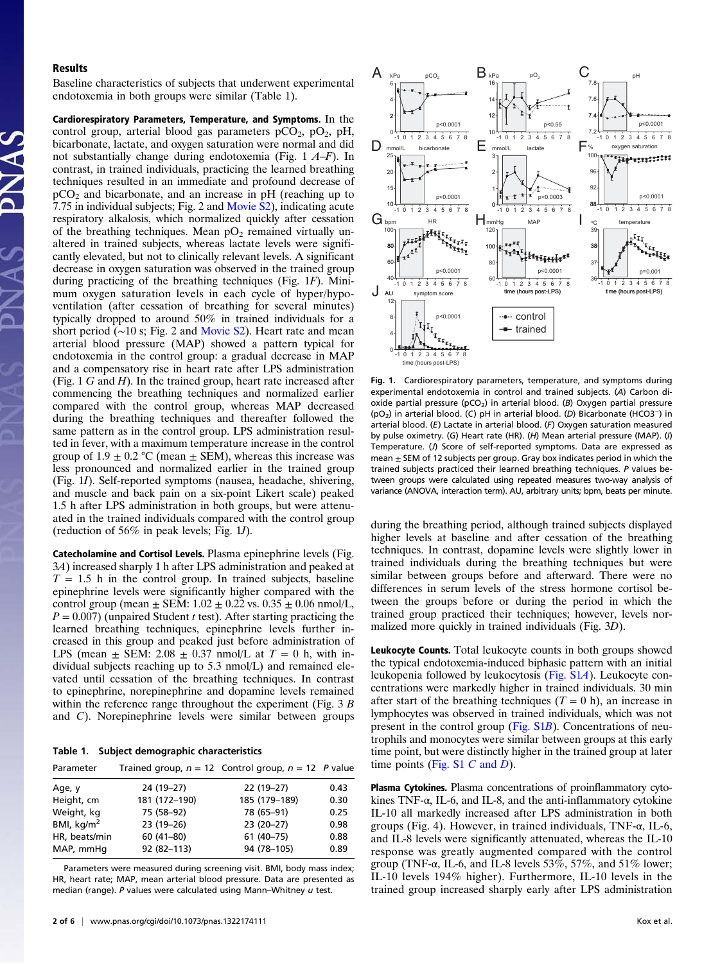#### Results

Baseline characteristics of subjects that underwent experimental endotoxemia in both groups were similar (Table 1).

Cardiorespiratory Parameters, Temperature, and Symptoms. In the control group, arterial blood gas parameters  $pCO_2$ ,  $pO_2$ ,  $pH$ , bicarbonate, lactate, and oxygen saturation were normal and did not substantially change during endotoxemia (Fig. 1 A–F). In contrast, in trained individuals, practicing the learned breathing techniques resulted in an immediate and profound decrease of  $pCO<sub>2</sub>$  and bicarbonate, and an increase in pH (reaching up to 7.75 in individual subjects; Fig. 2 and [Movie S2](http://link.brightcove.com/services/player/bcpid2310257107001?bckey=AQ~~,AAACGWexn-E~,DZzanBwbIjZqKk6FnbDGXqpoDot8FoHs&bctid=ref:PNAS_1322174111_M2-titlerefid1)), indicating acute respiratory alkalosis, which normalized quickly after cessation of the breathing techniques. Mean  $pO<sub>2</sub>$  remained virtually unaltered in trained subjects, whereas lactate levels were significantly elevated, but not to clinically relevant levels. A significant decrease in oxygen saturation was observed in the trained group during practicing of the breathing techniques (Fig. 1F). Minimum oxygen saturation levels in each cycle of hyper/hypoventilation (after cessation of breathing for several minutes) typically dropped to around 50% in trained individuals for a short period (∼10 s; Fig. 2 and [Movie S2](http://link.brightcove.com/services/player/bcpid2310257107001?bckey=AQ~~,AAACGWexn-E~,DZzanBwbIjZqKk6FnbDGXqpoDot8FoHs&bctid=ref:PNAS_1322174111_M2-titlerefid1)). Heart rate and mean arterial blood pressure (MAP) showed a pattern typical for endotoxemia in the control group: a gradual decrease in MAP and a compensatory rise in heart rate after LPS administration (Fig.  $1 G$  and  $H$ ). In the trained group, heart rate increased after commencing the breathing techniques and normalized earlier compared with the control group, whereas MAP decreased during the breathing techniques and thereafter followed the same pattern as in the control group. LPS administration resulted in fever, with a maximum temperature increase in the control group of  $1.9 \pm 0.2$  °C (mean  $\pm$  SEM), whereas this increase was less pronounced and normalized earlier in the trained group (Fig. 1I). Self-reported symptoms (nausea, headache, shivering, and muscle and back pain on a six-point Likert scale) peaked 1.5 h after LPS administration in both groups, but were attenuated in the trained individuals compared with the control group (reduction of 56% in peak levels; Fig. 1J).

Catecholamine and Cortisol Levels. Plasma epinephrine levels (Fig. 3A) increased sharply 1 h after LPS administration and peaked at  $T = 1.5$  h in the control group. In trained subjects, baseline epinephrine levels were significantly higher compared with the control group (mean  $\pm$  SEM: 1.02  $\pm$  0.22 vs. 0.35  $\pm$  0.06 nmol/L,  $P = 0.007$ ) (unpaired Student t test). After starting practicing the learned breathing techniques, epinephrine levels further increased in this group and peaked just before administration of LPS (mean  $\pm$  SEM: 2.08  $\pm$  0.37 nmol/L at  $T = 0$  h, with individual subjects reaching up to 5.3 nmol/L) and remained elevated until cessation of the breathing techniques. In contrast to epinephrine, norepinephrine and dopamine levels remained within the reference range throughout the experiment (Fig. 3 B) and C). Norepinephrine levels were similar between groups

Table 1. Subject demographic characteristics

| Parameter     |               | Trained group, $n = 12$ Control group, $n = 12$ P value |      |
|---------------|---------------|---------------------------------------------------------|------|
| Age, y        | 24 (19-27)    | $22(19-27)$                                             | 0.43 |
| Height, cm    | 181 (172-190) | 185 (179-189)                                           | 0.30 |
| Weight, kg    | 75 (58-92)    | 78 (65-91)                                              | 0.25 |
| BMI, $kg/m2$  | 23 (19-26)    | 23 (20-27)                                              | 0.98 |
| HR, beats/min | $60(41-80)$   | $61(40-75)$                                             | 0.88 |
| MAP, mmHq     | 92 (82-113)   | 94 (78-105)                                             | 0.89 |

Parameters were measured during screening visit. BMI, body mass index; HR, heart rate; MAP, mean arterial blood pressure. Data are presented as median (range). P values were calculated using Mann-Whitney  $u$  test.



Fig. 1. Cardiorespiratory parameters, temperature, and symptoms during experimental endotoxemia in control and trained subjects. (A) Carbon dioxide partial pressure ( $pCO<sub>2</sub>$ ) in arterial blood. (B) Oxygen partial pressure (pO2) in arterial blood. (C) pH in arterial blood. (D) Bicarbonate (HCO3−) in arterial blood. (E) Lactate in arterial blood. (F) Oxygen saturation measured by pulse oximetry. (G) Heart rate (HR). (H) Mean arterial pressure (MAP). (I) Temperature. (J) Score of self-reported symptoms. Data are expressed as mean  $\pm$  SEM of 12 subjects per group. Gray box indicates period in which the trained subjects practiced their learned breathing techniques. P values between groups were calculated using repeated measures two-way analysis of variance (ANOVA, interaction term). AU, arbitrary units; bpm, beats per minute.

during the breathing period, although trained subjects displayed higher levels at baseline and after cessation of the breathing techniques. In contrast, dopamine levels were slightly lower in trained individuals during the breathing techniques but were similar between groups before and afterward. There were no differences in serum levels of the stress hormone cortisol between the groups before or during the period in which the trained group practiced their techniques; however, levels normalized more quickly in trained individuals (Fig. 3D).

Leukocyte Counts. Total leukocyte counts in both groups showed the typical endotoxemia-induced biphasic pattern with an initial leukopenia followed by leukocytosis ([Fig. S1](http://www.pnas.org/lookup/suppl/doi:10.1073/pnas.1322174111/-/DCSupplemental/pnas.201322174SI.pdf?targetid=nameddest=SF1)A). Leukocyte concentrations were markedly higher in trained individuals. 30 min after start of the breathing techniques  $(T = 0 h)$ , an increase in lymphocytes was observed in trained individuals, which was not present in the control group [\(Fig. S1](http://www.pnas.org/lookup/suppl/doi:10.1073/pnas.1322174111/-/DCSupplemental/pnas.201322174SI.pdf?targetid=nameddest=SF1)B). Concentrations of neutrophils and monocytes were similar between groups at this early time point, but were distinctly higher in the trained group at later time points ([Fig. S1](http://www.pnas.org/lookup/suppl/doi:10.1073/pnas.1322174111/-/DCSupplemental/pnas.201322174SI.pdf?targetid=nameddest=SF1)  $C$  and  $D$ ).

Plasma Cytokines. Plasma concentrations of proinflammatory cytokines TNF-α, IL-6, and IL-8, and the anti-inflammatory cytokine IL-10 all markedly increased after LPS administration in both groups (Fig. 4). However, in trained individuals, TNF-α, IL-6, and IL-8 levels were significantly attenuated, whereas the IL-10 response was greatly augmented compared with the control group (TNF- $\alpha$ , IL-6, and IL-8 levels 53%, 57%, and 51% lower; IL-10 levels 194% higher). Furthermore, IL-10 levels in the trained group increased sharply early after LPS administration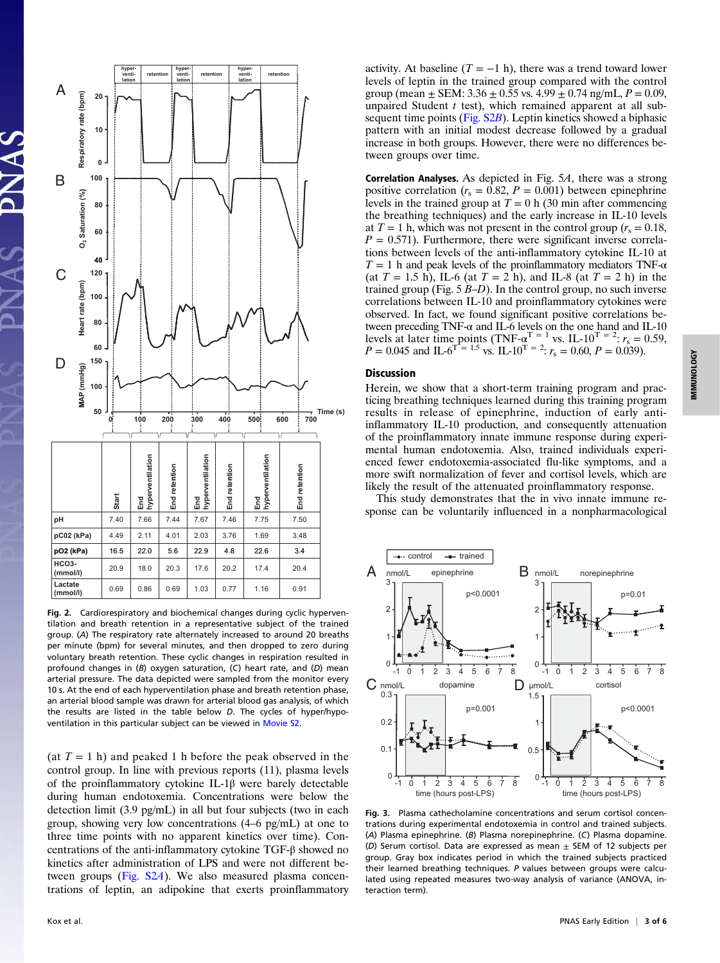

Fig. 2. Cardiorespiratory and biochemical changes during cyclic hyperventilation and breath retention in a representative subject of the trained group. (A) The respiratory rate alternately increased to around 20 breaths per minute (bpm) for several minutes, and then dropped to zero during voluntary breath retention. These cyclic changes in respiration resulted in profound changes in (B) oxygen saturation, (C) heart rate, and (D) mean arterial pressure. The data depicted were sampled from the monitor every 10 s. At the end of each hyperventilation phase and breath retention phase, an arterial blood sample was drawn for arterial blood gas analysis, of which the results are listed in the table below D. The cycles of hyper/hypoventilation in this particular subject can be viewed in [Movie S2](http://link.brightcove.com/services/player/bcpid2310257107001?bckey=AQ~~,AAACGWexn-E~,DZzanBwbIjZqKk6FnbDGXqpoDot8FoHs&bctid=ref:PNAS_1322174111_M2-titlerefid1).

(at  $T = 1$  h) and peaked 1 h before the peak observed in the control group. In line with previous reports (11), plasma levels of the proinflammatory cytokine IL-1β were barely detectable during human endotoxemia. Concentrations were below the detection limit (3.9 pg/mL) in all but four subjects (two in each group, showing very low concentrations (4–6 pg/mL) at one to three time points with no apparent kinetics over time). Concentrations of the anti-inflammatory cytokine TGF-β showed no kinetics after administration of LPS and were not different be-tween groups ([Fig. S2](http://www.pnas.org/lookup/suppl/doi:10.1073/pnas.1322174111/-/DCSupplemental/pnas.201322174SI.pdf?targetid=nameddest=SF2)A). We also measured plasma concentrations of leptin, an adipokine that exerts proinflammatory

IMMUNOLOGY IMMUNOLOGY



Correlation Analyses. As depicted in Fig. 5A, there was a strong positive correlation ( $r_s = 0.82$ ,  $P = 0.001$ ) between epinephrine levels in the trained group at  $T = 0$  h (30 min after commencing the breathing techniques) and the early increase in IL-10 levels at  $T = 1$  h, which was not present in the control group  $(r_s = 0.18,$  $P = 0.571$ . Furthermore, there were significant inverse correlations between levels of the anti-inflammatory cytokine IL-10 at  $T = 1$  h and peak levels of the proinflammatory mediators TNF- $\alpha$ (at  $T = 1.5$  h), IL-6 (at  $T = 2$  h), and IL-8 (at  $T = 2$  h) in the trained group (Fig. 5 B–D). In the control group, no such inverse correlations between IL-10 and proinflammatory cytokines were observed. In fact, we found significant positive correlations between preceding TNF-α and IL-6 levels on the one hand and IL-10<br>levels at later time points (TNF-α<sup>T</sup> = <sup>1</sup> vs. IL-10<sup>T</sup> = <sup>2</sup>: r<sub>s</sub> = 0.69, P = 0.039).<br>P = 0.045 and IL-6<sup>T</sup> = <sup>1.5</sup> vs. IL-10<sup>T</sup> = <sup>2</sup>: r<sub>s</sub> = 0.60, P =

## Discussion

Herein, we show that a short-term training program and practicing breathing techniques learned during this training program results in release of epinephrine, induction of early antiinflammatory IL-10 production, and consequently attenuation of the proinflammatory innate immune response during experimental human endotoxemia. Also, trained individuals experienced fewer endotoxemia-associated flu-like symptoms, and a more swift normalization of fever and cortisol levels, which are likely the result of the attenuated proinflammatory response.

This study demonstrates that the in vivo innate immune response can be voluntarily influenced in a nonpharmacological



Fig. 3. Plasma cathecholamine concentrations and serum cortisol concentrations during experimental endotoxemia in control and trained subjects. (A) Plasma epinephrine. (B) Plasma norepinephrine. (C) Plasma dopamine. (D) Serum cortisol. Data are expressed as mean  $\pm$  SEM of 12 subjects per group. Gray box indicates period in which the trained subjects practiced their learned breathing techniques. P values between groups were calculated using repeated measures two-way analysis of variance (ANOVA, interaction term).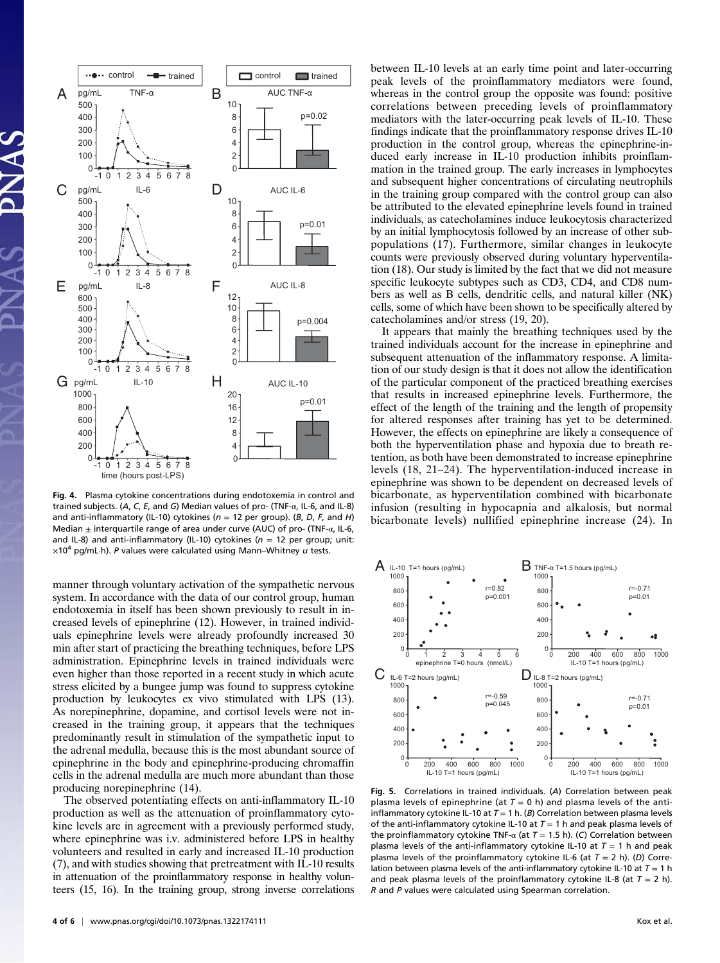

Fig. 4. Plasma cytokine concentrations during endotoxemia in control and trained subjects. (A, C, E, and G) Median values of pro- (TNF-α, IL-6, and IL-8) and anti-inflammatory (IL-10) cytokines ( $n = 12$  per group). (B, D, F, and H) Median  $\pm$  interquartile range of area under curve (AUC) of pro- (TNF- $\alpha$ , IL-6, and IL-8) and anti-inflammatory (IL-10) cytokines ( $n = 12$  per group; unit:  $\times10^4$  pg/mL·h). P values were calculated using Mann–Whitney u tests.

manner through voluntary activation of the sympathetic nervous system. In accordance with the data of our control group, human endotoxemia in itself has been shown previously to result in increased levels of epinephrine (12). However, in trained individuals epinephrine levels were already profoundly increased 30 min after start of practicing the breathing techniques, before LPS administration. Epinephrine levels in trained individuals were even higher than those reported in a recent study in which acute stress elicited by a bungee jump was found to suppress cytokine production by leukocytes ex vivo stimulated with LPS (13). As norepinephrine, dopamine, and cortisol levels were not increased in the training group, it appears that the techniques predominantly result in stimulation of the sympathetic input to the adrenal medulla, because this is the most abundant source of epinephrine in the body and epinephrine-producing chromaffin cells in the adrenal medulla are much more abundant than those producing norepinephrine (14).

The observed potentiating effects on anti-inflammatory IL-10 production as well as the attenuation of proinflammatory cytokine levels are in agreement with a previously performed study, where epinephrine was i.v. administered before LPS in healthy volunteers and resulted in early and increased IL-10 production (7), and with studies showing that pretreatment with IL-10 results in attenuation of the proinflammatory response in healthy volunteers (15, 16). In the training group, strong inverse correlations between IL-10 levels at an early time point and later-occurring peak levels of the proinflammatory mediators were found, whereas in the control group the opposite was found: positive correlations between preceding levels of proinflammatory mediators with the later-occurring peak levels of IL-10. These findings indicate that the proinflammatory response drives IL-10 production in the control group, whereas the epinephrine-induced early increase in IL-10 production inhibits proinflammation in the trained group. The early increases in lymphocytes and subsequent higher concentrations of circulating neutrophils in the training group compared with the control group can also be attributed to the elevated epinephrine levels found in trained individuals, as catecholamines induce leukocytosis characterized by an initial lymphocytosis followed by an increase of other subpopulations (17). Furthermore, similar changes in leukocyte counts were previously observed during voluntary hyperventilation (18). Our study is limited by the fact that we did not measure specific leukocyte subtypes such as CD3, CD4, and CD8 numbers as well as B cells, dendritic cells, and natural killer (NK) cells, some of which have been shown to be specifically altered by catecholamines and/or stress (19, 20).

It appears that mainly the breathing techniques used by the trained individuals account for the increase in epinephrine and subsequent attenuation of the inflammatory response. A limitation of our study design is that it does not allow the identification of the particular component of the practiced breathing exercises that results in increased epinephrine levels. Furthermore, the effect of the length of the training and the length of propensity for altered responses after training has yet to be determined. However, the effects on epinephrine are likely a consequence of both the hyperventilation phase and hypoxia due to breath retention, as both have been demonstrated to increase epinephrine levels (18, 21–24). The hyperventilation-induced increase in epinephrine was shown to be dependent on decreased levels of bicarbonate, as hyperventilation combined with bicarbonate infusion (resulting in hypocapnia and alkalosis, but normal bicarbonate levels) nullified epinephrine increase (24). In



Fig. 5. Correlations in trained individuals. (A) Correlation between peak plasma levels of epinephrine (at  $T = 0$  h) and plasma levels of the antiinflammatory cytokine IL-10 at  $T = 1$  h. (B) Correlation between plasma levels of the anti-inflammatory cytokine IL-10 at  $T = 1$  h and peak plasma levels of the proinflammatory cytokine TNF-α (at  $T = 1.5$  h). (C) Correlation between plasma levels of the anti-inflammatory cytokine IL-10 at  $T = 1$  h and peak plasma levels of the proinflammatory cytokine IL-6 (at  $T = 2$  h). (D) Correlation between plasma levels of the anti-inflammatory cytokine IL-10 at  $T = 1$  h and peak plasma levels of the proinflammatory cytokine IL-8 (at  $T = 2$  h). R and P values were calculated using Spearman correlation.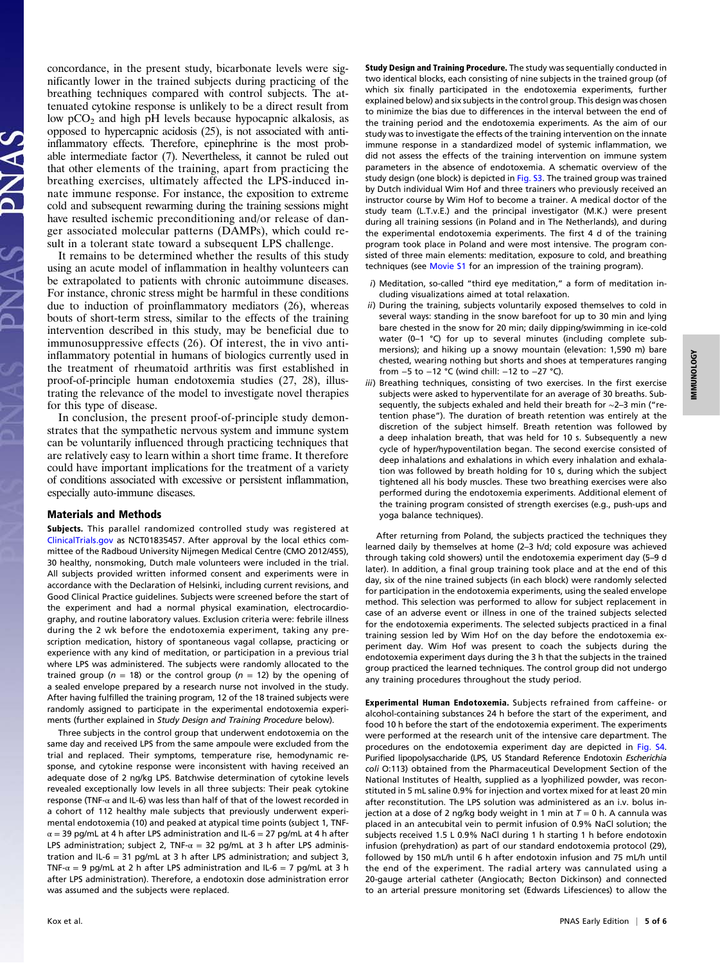concordance, in the present study, bicarbonate levels were significantly lower in the trained subjects during practicing of the breathing techniques compared with control subjects. The attenuated cytokine response is unlikely to be a direct result from low  $pCO<sub>2</sub>$  and high pH levels because hypocapnic alkalosis, as opposed to hypercapnic acidosis (25), is not associated with antiinflammatory effects. Therefore, epinephrine is the most probable intermediate factor (7). Nevertheless, it cannot be ruled out that other elements of the training, apart from practicing the breathing exercises, ultimately affected the LPS-induced innate immune response. For instance, the exposition to extreme cold and subsequent rewarming during the training sessions might have resulted ischemic preconditioning and/or release of danger associated molecular patterns (DAMPs), which could result in a tolerant state toward a subsequent LPS challenge.

It remains to be determined whether the results of this study using an acute model of inflammation in healthy volunteers can be extrapolated to patients with chronic autoimmune diseases. For instance, chronic stress might be harmful in these conditions due to induction of proinflammatory mediators (26), whereas bouts of short-term stress, similar to the effects of the training intervention described in this study, may be beneficial due to immunosuppressive effects (26). Of interest, the in vivo antiinflammatory potential in humans of biologics currently used in the treatment of rheumatoid arthritis was first established in proof-of-principle human endotoxemia studies (27, 28), illustrating the relevance of the model to investigate novel therapies for this type of disease.

In conclusion, the present proof-of-principle study demonstrates that the sympathetic nervous system and immune system can be voluntarily influenced through practicing techniques that are relatively easy to learn within a short time frame. It therefore could have important implications for the treatment of a variety of conditions associated with excessive or persistent inflammation, especially auto-immune diseases.

#### Materials and Methods

Subjects. This parallel randomized controlled study was registered at [ClinicalTrials.gov](http://ClinicalTrials.gov) as NCT01835457. After approval by the local ethics committee of the Radboud University Nijmegen Medical Centre (CMO 2012/455), 30 healthy, nonsmoking, Dutch male volunteers were included in the trial. All subjects provided written informed consent and experiments were in accordance with the Declaration of Helsinki, including current revisions, and Good Clinical Practice guidelines. Subjects were screened before the start of the experiment and had a normal physical examination, electrocardiography, and routine laboratory values. Exclusion criteria were: febrile illness during the 2 wk before the endotoxemia experiment, taking any prescription medication, history of spontaneous vagal collapse, practicing or experience with any kind of meditation, or participation in a previous trial where LPS was administered. The subjects were randomly allocated to the trained group ( $n = 18$ ) or the control group ( $n = 12$ ) by the opening of a sealed envelope prepared by a research nurse not involved in the study. After having fulfilled the training program, 12 of the 18 trained subjects were randomly assigned to participate in the experimental endotoxemia experiments (further explained in Study Design and Training Procedure below).

Three subjects in the control group that underwent endotoxemia on the same day and received LPS from the same ampoule were excluded from the trial and replaced. Their symptoms, temperature rise, hemodynamic response, and cytokine response were inconsistent with having received an adequate dose of 2 ng/kg LPS. Batchwise determination of cytokine levels revealed exceptionally low levels in all three subjects: Their peak cytokine response (TNF-α and IL-6) was less than half of that of the lowest recorded in a cohort of 112 healthy male subjects that previously underwent experimental endotoxemia (10) and peaked at atypical time points (subject 1, TNF- $\alpha$  = 39 pg/mL at 4 h after LPS administration and IL-6 = 27 pg/mL at 4 h after LPS administration; subject 2, TNF- $\alpha = 32$  pg/mL at 3 h after LPS administration and IL-6 = 31 pg/mL at 3 h after LPS administration; and subject 3, TNF- $\alpha$  = 9 pg/mL at 2 h after LPS administration and IL-6 = 7 pg/mL at 3 h after LPS administration). Therefore, a endotoxin dose administration error was assumed and the subjects were replaced.

Study Design and Training Procedure. The study was sequentially conducted in two identical blocks, each consisting of nine subjects in the trained group (of which six finally participated in the endotoxemia experiments, further explained below) and six subjects in the control group. This design was chosen to minimize the bias due to differences in the interval between the end of the training period and the endotoxemia experiments. As the aim of our study was to investigate the effects of the training intervention on the innate immune response in a standardized model of systemic inflammation, we did not assess the effects of the training intervention on immune system parameters in the absence of endotoxemia. A schematic overview of the study design (one block) is depicted in [Fig. S3.](http://www.pnas.org/lookup/suppl/doi:10.1073/pnas.1322174111/-/DCSupplemental/pnas.201322174SI.pdf?targetid=nameddest=SF3) The trained group was trained by Dutch individual Wim Hof and three trainers who previously received an instructor course by Wim Hof to become a trainer. A medical doctor of the study team (L.T.v.E.) and the principal investigator (M.K.) were present during all training sessions (in Poland and in The Netherlands), and during the experimental endotoxemia experiments. The first 4 d of the training program took place in Poland and were most intensive. The program consisted of three main elements: meditation, exposure to cold, and breathing techniques (see [Movie S1](http://link.brightcove.com/services/player/bcpid2310257107001?bckey=AQ~~,AAACGWexn-E~,DZzanBwbIjZqKk6FnbDGXqpoDot8FoHs&bctid=ref:PNAS_1322174111_M1-titlerefid1) for an impression of the training program).

- i) Meditation, so-called "third eye meditation," a form of meditation including visualizations aimed at total relaxation.
- ii) During the training, subjects voluntarily exposed themselves to cold in several ways: standing in the snow barefoot for up to 30 min and lying bare chested in the snow for 20 min; daily dipping/swimming in ice-cold water (0–1 °C) for up to several minutes (including complete submersions); and hiking up a snowy mountain (elevation: 1,590 m) bare chested, wearing nothing but shorts and shoes at temperatures ranging from −5 to −12 °C (wind chill: −12 to −27 °C).
- iii) Breathing techniques, consisting of two exercises. In the first exercise subjects were asked to hyperventilate for an average of 30 breaths. Subsequently, the subjects exhaled and held their breath for ∼2–3 min ("retention phase"). The duration of breath retention was entirely at the discretion of the subject himself. Breath retention was followed by a deep inhalation breath, that was held for 10 s. Subsequently a new cycle of hyper/hypoventilation began. The second exercise consisted of deep inhalations and exhalations in which every inhalation and exhalation was followed by breath holding for 10 s, during which the subject tightened all his body muscles. These two breathing exercises were also performed during the endotoxemia experiments. Additional element of the training program consisted of strength exercises (e.g., push-ups and yoga balance techniques).

After returning from Poland, the subjects practiced the techniques they learned daily by themselves at home (2–3 h/d; cold exposure was achieved through taking cold showers) until the endotoxemia experiment day (5–9 d later). In addition, a final group training took place and at the end of this day, six of the nine trained subjects (in each block) were randomly selected for participation in the endotoxemia experiments, using the sealed envelope method. This selection was performed to allow for subject replacement in case of an adverse event or illness in one of the trained subjects selected for the endotoxemia experiments. The selected subjects practiced in a final training session led by Wim Hof on the day before the endotoxemia experiment day. Wim Hof was present to coach the subjects during the endotoxemia experiment days during the 3 h that the subjects in the trained group practiced the learned techniques. The control group did not undergo any training procedures throughout the study period.

Experimental Human Endotoxemia. Subjects refrained from caffeine- or alcohol-containing substances 24 h before the start of the experiment, and food 10 h before the start of the endotoxemia experiment. The experiments were performed at the research unit of the intensive care department. The procedures on the endotoxemia experiment day are depicted in [Fig. S4](http://www.pnas.org/lookup/suppl/doi:10.1073/pnas.1322174111/-/DCSupplemental/pnas.201322174SI.pdf?targetid=nameddest=SF4). Purified lipopolysaccharide (LPS, US Standard Reference Endotoxin Escherichia coli O:113) obtained from the Pharmaceutical Development Section of the National Institutes of Health, supplied as a lyophilized powder, was reconstituted in 5 mL saline 0.9% for injection and vortex mixed for at least 20 min after reconstitution. The LPS solution was administered as an i.v. bolus injection at a dose of 2 ng/kg body weight in 1 min at  $T = 0$  h. A cannula was placed in an antecubital vein to permit infusion of 0.9% NaCl solution; the subjects received 1.5 L 0.9% NaCl during 1 h starting 1 h before endotoxin infusion (prehydration) as part of our standard endotoxemia protocol (29), followed by 150 mL/h until 6 h after endotoxin infusion and 75 mL/h until the end of the experiment. The radial artery was cannulated using a 20-gauge arterial catheter (Angiocath; Becton Dickinson) and connected to an arterial pressure monitoring set (Edwards Lifesciences) to allow the